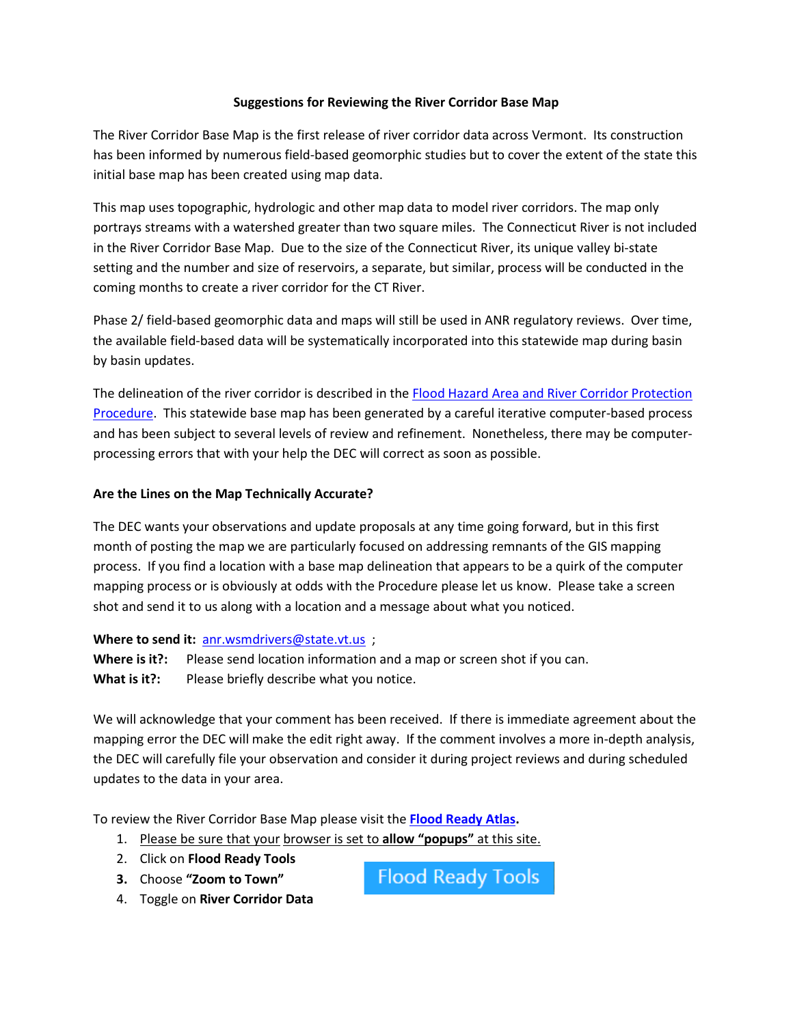## **Suggestions for Reviewing the River Corridor Base Map**

The River Corridor Base Map is the first release of river corridor data across Vermont. Its construction has been informed by numerous field-based geomorphic studies but to cover the extent of the state this initial base map has been created using map data.

This map uses topographic, hydrologic and other map data to model river corridors. The map only portrays streams with a watershed greater than two square miles. The Connecticut River is not included in the River Corridor Base Map. Due to the size of the Connecticut River, its unique valley bi-state setting and the number and size of reservoirs, a separate, but similar, process will be conducted in the coming months to create a river corridor for the CT River.

Phase 2/ field-based geomorphic data and maps will still be used in ANR regulatory reviews. Over time, the available field-based data will be systematically incorporated into this statewide map during basin by basin updates.

The delineation of the river corridor is described in the Flood Hazard Area [and River Corridor Protection](http://www.watershedmanagement.vt.gov/rivers.htm)  [Procedure.](http://www.watershedmanagement.vt.gov/rivers.htm) This statewide base map has been generated by a careful iterative computer-based process and has been subject to several levels of review and refinement. Nonetheless, there may be computerprocessing errors that with your help the DEC will correct as soon as possible.

## **Are the Lines on the Map Technically Accurate?**

The DEC wants your observations and update proposals at any time going forward, but in this first month of posting the map we are particularly focused on addressing remnants of the GIS mapping process. If you find a location with a base map delineation that appears to be a quirk of the computer mapping process or is obviously at odds with the Procedure please let us know. Please take a screen shot and send it to us along with a location and a message about what you noticed.

## **Where to send it:** [anr.wsmdrivers@state.vt.us](mailto:anr.wsmdrivers@state.vt.us?subject=River%20Corridor%20Base%20Map) ;

**Where is it?:** Please send location information and a map or screen shot if you can. What is it?: Please briefly describe what you notice.

We will acknowledge that your comment has been received. If there is immediate agreement about the mapping error the DEC will make the edit right away. If the comment involves a more in-depth analysis, the DEC will carefully file your observation and consider it during project reviews and during scheduled updates to the data in your area.

To review the River Corridor Base Map please visit the **[Flood Ready Atlas.](http://floodready.vermont.gov/assessment/vt_floodready_atlas)**

- 1. Please be sure that your browser is set to **allow "popups"** at this site.
- 2. Click on **Flood Ready Tools**
- **3.** Choose **"Zoom to Town"**

**Flood Ready Tools** 

4. Toggle on **River Corridor Data**